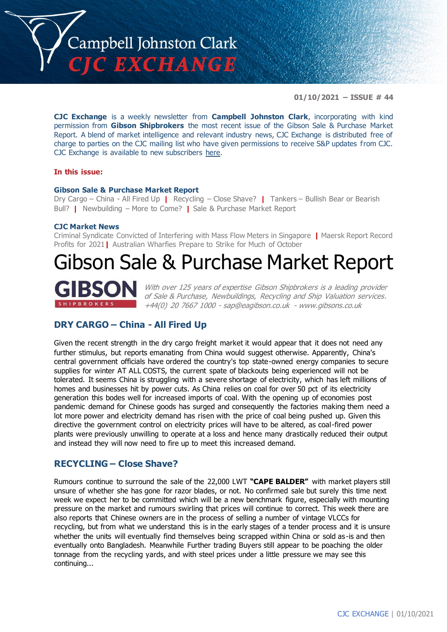

**01/10/2021 – ISSUE # 44**

**CJC Exchange** is a weekly newsletter from **Campbell Johnston Clark**, incorporating with kind permission from **Gibson Shipbrokers** the most recent issue of the Gibson Sale & Purchase Market Report. A blend of market intelligence and relevant industry news, CJC Exchange is distributed free of charge to parties on the CJC mailing list who have given permissions to receive S&P updates from CJC. CJC Exchange is available to new subscribers [here.](mailto:jamesc@cjclaw.com?subject=CJC%20Exchange%20sign-up)

#### **In this issue:**

#### **Gibson Sale & Purchase Market Report**

Dry Cargo – China - All Fired Up **|** Recycling – Close Shave? **|** Tankers – Bullish Bear or Bearish Bull? **|** Newbuilding – More to Come? **|** Sale & Purchase Market Report

#### **CJC Market News**

Criminal Syndicate Convicted of Interfering with Mass Flow Meters in Singapore **|** Maersk Report Record Profits for 2021**|** Australian Wharfies Prepare to Strike for Much of October

## Gibson Sale & Purchase Market Report



With over 125 years of expertise Gibson Shipbrokers is a leading provider of Sale & Purchase, Newbuildings, Recycling and Ship Valuation services. +44(0) 20 7667 1000 - [sap@eagibson.co.uk](mailto:sap@eagibson.co.uk) - [www.gibsons.co.uk](https://protect-eu.mimecast.com/s/VO6nCGZzRS60KqcK1jQh/)

## **DRY CARGO – China - All Fired Up**

Given the recent strength in the dry cargo freight market it would appear that it does not need any further stimulus, but reports emanating from China would suggest otherwise. Apparently, China's central government officials have ordered the country's top state-owned energy companies to secure supplies for winter AT ALL COSTS, the current spate of blackouts being experienced will not be tolerated. It seems China is struggling with a severe shortage of electricity, which has left millions of homes and businesses hit by power cuts. As China relies on coal for over 50 pct of its electricity generation this bodes well for increased imports of coal. With the opening up of economies post pandemic demand for Chinese goods has surged and consequently the factories making them need a lot more power and electricity demand has risen with the price of coal being pushed up. Given this directive the government control on electricity prices will have to be altered, as coal-fired power plants were previously unwilling to operate at a loss and hence many drastically reduced their output and instead they will now need to fire up to meet this increased demand.

## **RECYCLING – Close Shave?**

Rumours continue to surround the sale of the 22,000 LWT **"CAPE BALDER"** with market players still unsure of whether she has gone for razor blades, or not. No confirmed sale but surely this time next week we expect her to be committed which will be a new benchmark figure, especially with mounting pressure on the market and rumours swirling that prices will continue to correct. This week there are also reports that Chinese owners are in the process of selling a number of vintage VLCCs for recycling, but from what we understand this is in the early stages of a tender process and it is unsure whether the units will eventually find themselves being scrapped within China or sold as -is and then eventually onto Bangladesh. Meanwhile Further trading Buyers still appear to be poaching the older tonnage from the recycling yards, and with steel prices under a little pressure we may see this continuing...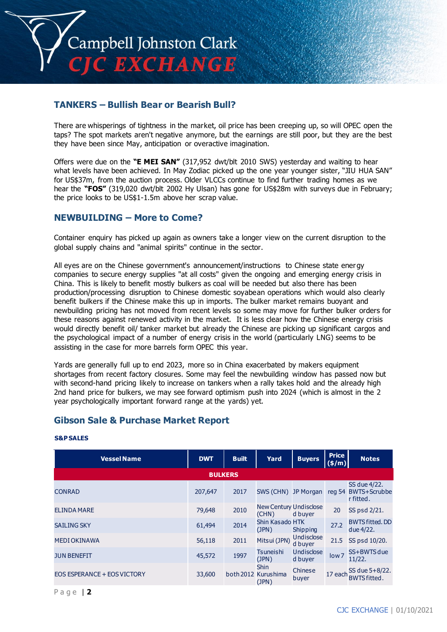

## **TANKERS – Bullish Bear or Bearish Bull?**

There are whisperings of tightness in the market, oil price has been creeping up, so will OPEC open the taps? The spot markets aren't negative anymore, but the earnings are still poor, but they are the best they have been since May, anticipation or overactive imagination.

Offers were due on the **"E MEI SAN"** (317,952 dwt/blt 2010 SWS) yesterday and waiting to hear what levels have been achieved. In May Zodiac picked up the one year younger sister, "JIU HUA SAN" for US\$37m, from the auction process. Older VLCCs continue to find further trading homes as we hear the **"FOS"** (319,020 dwt/blt 2002 Hy Ulsan) has gone for US\$28m with surveys due in February; the price looks to be US\$1-1.5m above her scrap value.

## **NEWBUILDING – More to Come?**

Container enquiry has picked up again as owners take a longer view on the current disruption to the global supply chains and "animal spirits" continue in the sector.

All eyes are on the Chinese government's announcement/instructions to Chinese state energy companies to secure energy supplies "at all costs" given the ongoing and emerging energy crisis in China. This is likely to benefit mostly bulkers as coal will be needed but also there has been production/processing disruption to Chinese domestic soyabean operations which would also clearly benefit bulkers if the Chinese make this up in imports. The bulker market remains buoyant and newbuilding pricing has not moved from recent levels so some may move for further bulker orders for these reasons against renewed activity in the market. It is less clear how the Chinese energy crisis would directly benefit oil/ tanker market but already the Chinese are picking up significant cargos and the psychological impact of a number of energy crisis in the world (particularly LNG) seems to be assisting in the case for more barrels form OPEC this year.

Yards are generally full up to end 2023, more so in China exacerbated by makers equipment shortages from recent factory closures. Some may feel the newbuilding window has passed now but with second-hand pricing likely to increase on tankers when a rally takes hold and the already high 2nd hand price for bulkers, we may see forward optimism push into 2024 (which is almost in the 2 year psychologically important forward range at the yards) yet.

## **Gibson Sale & Purchase Market Report**

| <b>Vessel Name</b>                 | <b>DWT</b> | <b>Built</b>   | Yard                                        | <b>Buyers</b>         | <b>Price</b><br>$(\frac{\epsilon}{m})$ | <b>Notes</b>                              |
|------------------------------------|------------|----------------|---------------------------------------------|-----------------------|----------------------------------------|-------------------------------------------|
|                                    |            | <b>BULKERS</b> |                                             |                       |                                        |                                           |
| <b>CONRAD</b>                      | 207,647    | 2017           | SWS (CHN) JP Morgan                         |                       | reg 54                                 | SS due 4/22.<br>BWTS+Scrubbe<br>r fitted. |
| <b>ELINDA MARE</b>                 | 79,648     | 2010           | <b>New Century Undisclose</b><br>(CHN)      | d buyer               | 20                                     | SS psd 2/21.                              |
| <b>SAILING SKY</b>                 | 61,494     | 2014           | Shin Kasado HTK<br>(JPN)                    | Shipping              | 27.2                                   | <b>BWTS fitted, DD</b><br>due 4/22.       |
| <b>MEDI OKINAWA</b>                | 56,118     | 2011           | Mitsui (JPN)                                | Undisclose<br>d buyer | 21.5                                   | SS psd 10/20.                             |
| <b>JUN BENEFIT</b>                 | 45,572     | 1997           | Tsuneishi<br>(JPN)                          | Undisclose<br>d buyer | low <sub>7</sub>                       | SS+BWTS due<br>11/22.                     |
| <b>EOS ESPERANCE + EOS VICTORY</b> | 33,600     |                | <b>Shin</b><br>both 2012 Kurushima<br>(JPN) | Chinese<br>buyer      | 17 each                                | SS due $5+8/22$ .                         |

#### **S&P SALES**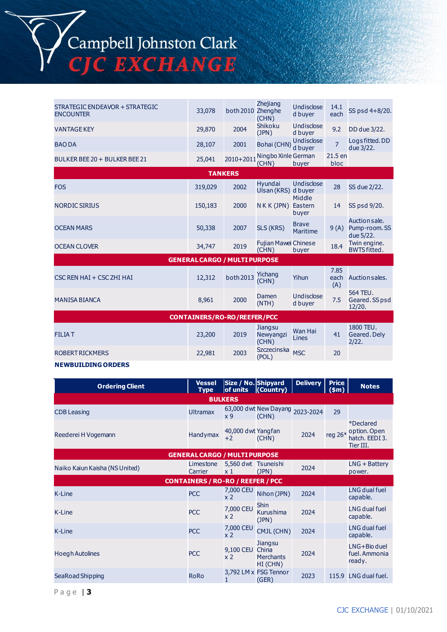

| STRATEGIC ENDEAVOR + STRATEGIC<br><b>ENCOUNTER</b> | 33,078  | both 2010 Zhenghe | Zhejiang<br>(CHN)                     | Undisclose<br>d buyer      | 14.1<br>each        | SS psd 4+8/20.                              |  |  |
|----------------------------------------------------|---------|-------------------|---------------------------------------|----------------------------|---------------------|---------------------------------------------|--|--|
| <b>VANTAGE KEY</b>                                 | 29,870  | 2004              | Shikoku<br>(JPN)                      | Undisclose<br>d buyer      | 9.2                 | DD due 3/22.                                |  |  |
| <b>BAO DA</b>                                      | 28,107  | 2001              | Bohai (CHN)                           | Undisclose<br>d buyer      | $\overline{7}$      | Logs fitted. DD<br>due 3/22.                |  |  |
| BULKER BEE 20 + BULKER BEE 21                      | 25,041  | $2010+2011$       | Ningbo Xinle German<br>(CHN)          | buver                      | 21.5 en<br>bloc     |                                             |  |  |
|                                                    |         | <b>TANKERS</b>    |                                       |                            |                     |                                             |  |  |
| <b>FOS</b>                                         | 319,029 | 2002              | <b>Hyundai</b><br>Ulsan (KRS) d buyer | Undisclose                 | 28                  | SS due 2/22.                                |  |  |
| <b>NORDIC SIRIUS</b>                               | 150,183 | 2000              | $N$ K K (JPN)                         | Middle<br>Eastern<br>buver | 14                  | SS psd 9/20.                                |  |  |
| <b>OCEAN MARS</b>                                  | 50,338  | 2007              | SLS (KRS)                             | <b>Brave</b><br>Maritime   | 9(A)                | Auction sale.<br>Pump-room. SS<br>due 5/22. |  |  |
| <b>OCEAN CLOVER</b>                                | 34,747  | 2019              | Fujian Mawei Chinese<br>(CHN)         | buyer                      | 18.4                | Twin engine.<br><b>BWTS fitted.</b>         |  |  |
| <b>GENERAL CARGO / MULTI PURPOSE</b>               |         |                   |                                       |                            |                     |                                             |  |  |
| CSC REN HAI + CSC ZHI HAI                          | 12,312  | both 2013         | Yichang<br>(CHN)                      | Yihun                      | 7.85<br>each<br>(A) | Auction sales.                              |  |  |
| <b>MANISA BIANCA</b>                               | 8,961   | 2000              | Damen<br>(NTH)                        | Undisclose<br>d buyer      | 7.5                 | 564 TEU.<br>Geared. SS psd<br>12/20.        |  |  |
| <b>CONTAINERS/RO-RO/REEFER/PCC</b>                 |         |                   |                                       |                            |                     |                                             |  |  |
| <b>FILIAT</b>                                      | 23,200  | 2019              | Jiangsu<br>Newyangzi<br>(CHN)         | Wan Hai<br>Lines           | 41                  | 1800 TEU.<br>Geared. Dely<br>2/22.          |  |  |
| <b>ROBERT RICKMERS</b>                             | 22,981  | 2003              | <b>Szczecinska</b><br>(POL)           | <b>MSC</b>                 | 20                  |                                             |  |  |

#### **NEWBUILDING ORDERS**

| <b>Ordering Client</b>               | <b>Vessel</b><br><b>Type</b>             | Size / No. Shipyard<br>of units       | (Country)                                 | <b>Delivery</b> | <b>Price</b><br>(\$m) | <b>Notes</b>                                                    |  |  |
|--------------------------------------|------------------------------------------|---------------------------------------|-------------------------------------------|-----------------|-----------------------|-----------------------------------------------------------------|--|--|
| <b>BULKERS</b>                       |                                          |                                       |                                           |                 |                       |                                                                 |  |  |
| <b>CDB Leasing</b>                   | <b>Ultramax</b>                          | x 9                                   | 63,000 dwt New Dayang 2023-2024<br>(CHN)  |                 | 29                    |                                                                 |  |  |
| Reederei H Vogemann                  | Handymax                                 | 40,000 dwt Yangfan<br>$+2$            | (CHN)                                     | 2024            |                       | *Declared<br>reg 26* option. Open<br>hatch, EEDI3.<br>Tier III. |  |  |
| <b>GENERAL CARGO / MULTI PURPOSE</b> |                                          |                                       |                                           |                 |                       |                                                                 |  |  |
| Naiko Kaiun Kaisha (NS United)       | Limestone<br>Carrier                     | 5,560 dwt Tsuneishi<br>x <sub>1</sub> | (JPN)                                     | 2024            |                       | $LNG + Battery$<br>power.                                       |  |  |
|                                      | <b>CONTAINERS / RO-RO / REEFER / PCC</b> |                                       |                                           |                 |                       |                                                                 |  |  |
| K-Line                               | <b>PCC</b>                               | 7,000 CEU<br>x <sub>2</sub>           | Nihon (JPN)                               | 2024            |                       | LNG dual fuel<br>capable.                                       |  |  |
| K-Line                               | <b>PCC</b>                               | 7,000 CEU<br>x <sub>2</sub>           | <b>Shin</b><br>Kurushima<br>(JPN)         | 2024            |                       | LNG dual fuel<br>capable.                                       |  |  |
| K-Line                               | <b>PCC</b>                               | 7,000 CEU<br>x 2                      | CMJL (CHN)                                | 2024            |                       | <b>LNG dual fuel</b><br>capable.                                |  |  |
| <b>Hoegh Autolines</b>               | <b>PCC</b>                               | 9,100 CEU<br>x <sub>2</sub>           | Jiangsu<br>China<br>Merchants<br>HI (CHN) | 2024            |                       | $LNG + Bio$ duel<br>fuel. Ammonia<br>ready.                     |  |  |
| SeaRoad Shipping                     | RoRo                                     |                                       | 3,792 LM x FSG Tennor<br>(GER)            | 2023            | 115.9                 | LNG dual fuel.                                                  |  |  |

P a g e | **3**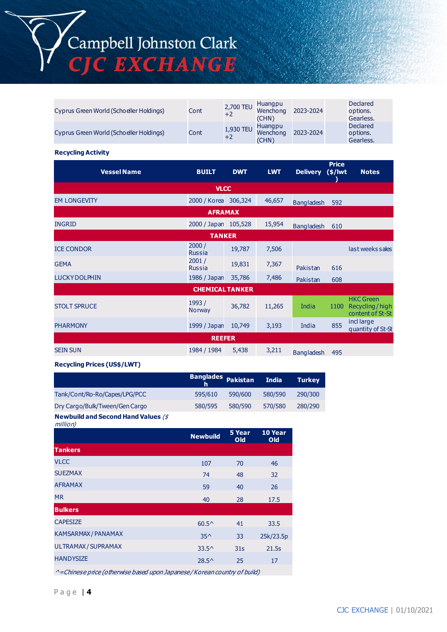

| Cyprus Green World (Schoeller Holdings) | Cont | 2,700 TEU<br>$+2$ | Huangpu<br>Wenchong<br>(CHN) | 2023-2024 | <b>Declared</b><br>options.<br>Gearless. |
|-----------------------------------------|------|-------------------|------------------------------|-----------|------------------------------------------|
| Cyprus Green World (Schoeller Holdings) | Cont | 1,930 TEU<br>$+2$ | Huangpu<br>Wenchong<br>(CHN) | 2023-2024 | <b>Declared</b><br>options.<br>Gearless. |

#### **Recycling Activity**

| <b>Vessel Name</b>   | <b>BUILT</b>           | <b>DWT</b> | <b>LWT</b> | <b>Delivery</b>   | <b>Price</b><br>$(*)$ lwt | <b>Notes</b>                                           |  |
|----------------------|------------------------|------------|------------|-------------------|---------------------------|--------------------------------------------------------|--|
|                      | <b>VLCC</b>            |            |            |                   |                           |                                                        |  |
| <b>EM LONGEVITY</b>  | 2000 / Korea           | 306,324    | 46,657     | <b>Bangladesh</b> | 592                       |                                                        |  |
|                      | <b>AFRAMAX</b>         |            |            |                   |                           |                                                        |  |
| <b>INGRID</b>        | 2000 / Japan           | 105,528    | 15,954     | <b>Bangladesh</b> | 610                       |                                                        |  |
| <b>TANKER</b>        |                        |            |            |                   |                           |                                                        |  |
| <b>ICE CONDOR</b>    | 2000/<br><b>Russia</b> | 19,787     | 7,506      |                   |                           | last weeks sales                                       |  |
| <b>GEMA</b>          | 2001/<br><b>Russia</b> | 19,831     | 7,367      | Pakistan          | 616                       |                                                        |  |
| <b>LUCKY DOLPHIN</b> | 1986 / Japan           | 35,786     | 7,486      | Pakistan          | 608                       |                                                        |  |
|                      | <b>CHEMICAL TANKER</b> |            |            |                   |                           |                                                        |  |
| <b>STOLT SPRUCE</b>  | 1993/<br><b>Norway</b> | 36,782     | 11,265     | India             | 1100                      | <b>HKC</b> Green<br>Recycling/high<br>content of St-St |  |
| <b>PHARMONY</b>      | 1999 / Japan           | 10,749     | 3,193      | India             | 855                       | incl large<br>quantity of St-St                        |  |
|                      | <b>REEFER</b>          |            |            |                   |                           |                                                        |  |
| <b>SEIN SUN</b>      | 1984 / 1984            | 5,438      | 3,211      | <b>Bangladesh</b> | 495                       |                                                        |  |

#### **Recycling Prices (US\$/LWT)**

|                                            | Banglades Pakistan |         | <b>India</b> | <b>Turkey</b> |
|--------------------------------------------|--------------------|---------|--------------|---------------|
| Tank/Cont/Ro-Ro/Capes/LPG/PCC              | 595/610            | 590/600 | 580/590      | 290/300       |
| Dry Cargo/Bulk/Tween/Gen Cargo             | 580/595            | 580/590 | 570/580      | 280/290       |
| <b>Newbuild and Second Hand Values (\$</b> |                    |         |              |               |

million)

| ╭                   | <b>Newbuild</b> | 5 Year<br><b>Old</b>        | 10 Year<br>Old |
|---------------------|-----------------|-----------------------------|----------------|
| <b>Tankers</b>      |                 |                             |                |
| <b>VLCC</b>         | 107             | 70                          | 46             |
| <b>SUEZMAX</b>      | 74              | 48                          | 32             |
| <b>AFRAMAX</b>      | 59              | 40                          | 26             |
| <b>MR</b>           | 40              | 28                          | 17.5           |
| <b>Bulkers</b>      |                 |                             |                |
| <b>CAPESIZE</b>     | $60.5^{\circ}$  | 41                          | 33.5           |
| KAMSARMAX / PANAMAX | $35^{\wedge}$   | 33                          | 25k/23.5p      |
| ULTRAMAX / SUPRAMAX | $33.5^{\circ}$  | 31 <sub>S</sub>             | 21.5s          |
| <b>HANDYSIZE</b>    | $28.5^{\circ}$  | 25                          | 17             |
|                     |                 | $\sim$ $\sim$ $\sim$ $\sim$ |                |

^=Chinese price (otherwise based upon Japanese / Korean country of build)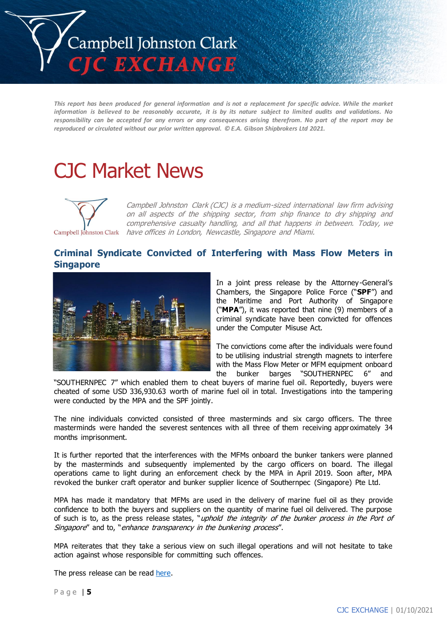

*This report has been produced for general information and is not a replacement for specific advice. While the market information is believed to be reasonably accurate, it is by its nature subject to limited audits and validations. No responsibility can be accepted for any errors or any consequences arising therefrom. No part of the report may be reproduced or circulated without our prior written approval. © E.A. Gibson Shipbrokers Ltd 2021.*

# CJC Market News



Campbell Johnston Clark (CJC) is a medium-sized international law firm advising on all aspects of the shipping sector, from ship finance to dry shipping and comprehensive casualty handling, and all that happens in between. Today, we Campbell Johnston Clark have offices in London, Newcastle, Singapore and Miami.

## **Criminal Syndicate Convicted of Interfering with Mass Flow Meters in Singapore**



In a joint press release by the Attorney-General's Chambers, the Singapore Police Force ("**SPF**") and the Maritime and Port Authority of Singapore ("**MPA**"), it was reported that nine (9) members of a criminal syndicate have been convicted for offences under the Computer Misuse Act.

The convictions come after the individuals were found to be utilising industrial strength magnets to interfere with the Mass Flow Meter or MFM equipment onboard the bunker barges "SOUTHERNPEC 6" and

"SOUTHERNPEC 7" which enabled them to cheat buyers of marine fuel oil. Reportedly, buyers were cheated of some USD 336,930.63 worth of marine fuel oil in total. Investigations into the tampering were conducted by the MPA and the SPF jointly.

The nine individuals convicted consisted of three masterminds and six cargo officers. The three masterminds were handed the severest sentences with all three of them receiving approximately 34 months imprisonment.

It is further reported that the interferences with the MFMs onboard the bunker tankers were planned by the masterminds and subsequently implemented by the cargo officers on board. The illegal operations came to light during an enforcement check by the MPA in April 2019. Soon after, MPA revoked the bunker craft operator and bunker supplier licence of Southernpec (Singapore) Pte Ltd.

MPA has made it mandatory that MFMs are used in the delivery of marine fuel oil as they provide confidence to both the buyers and suppliers on the quantity of marine fuel oil delivered. The purpose of such is to, as the press release states, "uphold the integrity of the bunker process in the Port of Singapore" and to, "enhance transparency in the bunkering process".

MPA reiterates that they take a serious view on such illegal operations and will not hesitate to take action against whose responsible for committing such offences.

The press release can be read [here.](https://www.mpa.gov.sg/web/portal/home/media-centre/news-releases/detail/cadd3bfb-d7dd-4a2b-9b19-a4a003300b4e)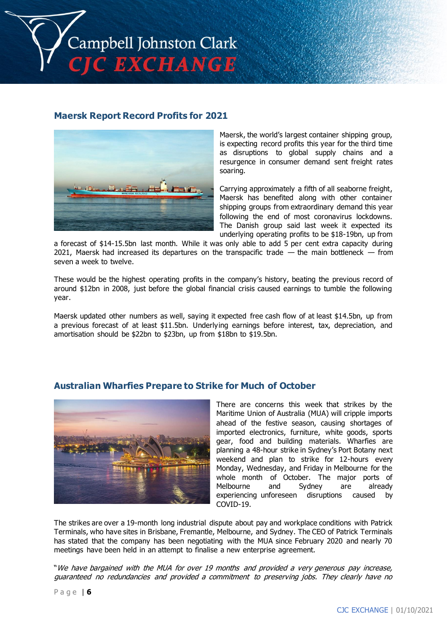

### **Maersk Report Record Profits for 2021**



Maersk, the world's largest container shipping group, is expecting record profits this year for the third time as disruptions to global supply chains and a resurgence in consumer demand sent freight rates soaring.

Carrying approximately a fifth of all seaborne freight, Maersk has benefited along with other container shipping groups from extraordinary demand this year following the end of most coronavirus lockdowns. The Danish group said last week it expected its underlying operating profits to be \$18-19bn, up from

a forecast of \$14-15.5bn last month. While it was only able to add 5 per cent extra capacity during 2021, Maersk had increased its departures on the transpacific trade  $-$  the main bottleneck  $-$  from seven a week to twelve.

These would be the highest operating profits in the company's history, beating the previous record of around \$12bn in 2008, just before the global financial crisis caused earnings to tumble the following year.

Maersk updated other numbers as well, saying it expected free cash flow of at least \$14.5bn, up from a previous forecast of at least \$11.5bn. Underlying earnings before interest, tax, depreciation, and amortisation should be \$22bn to \$23bn, up from \$18bn to \$19.5bn.

## **Australian Wharfies Prepare to Strike for Much of October**



There are concerns this week that strikes by the Maritime Union of Australia (MUA) will cripple imports ahead of the festive season, causing shortages of imported electronics, furniture, white goods, sports gear, food and building materials. Wharfies are planning a 48-hour strike in Sydney's Port Botany next weekend and plan to strike for 12-hours every Monday, Wednesday, and Friday in Melbourne for the whole month of October. The major ports of Melbourne and Sydney are already experiencing unforeseen disruptions caused by COVID-19.

The strikes are over a 19-month long industrial dispute about pay and workplace conditions with Patrick Terminals, who have sites in Brisbane, Fremantle, Melbourne, and Sydney. The CEO of Patrick Terminals has stated that the company has been negotiating with the MUA since February 2020 and nearly 70 meetings have been held in an attempt to finalise a new enterprise agreement.

"We have bargained with the MUA for over 19 months and provided a very generous pay increase, guaranteed no redundancies and provided a commitment to preserving jobs. They clearly have no